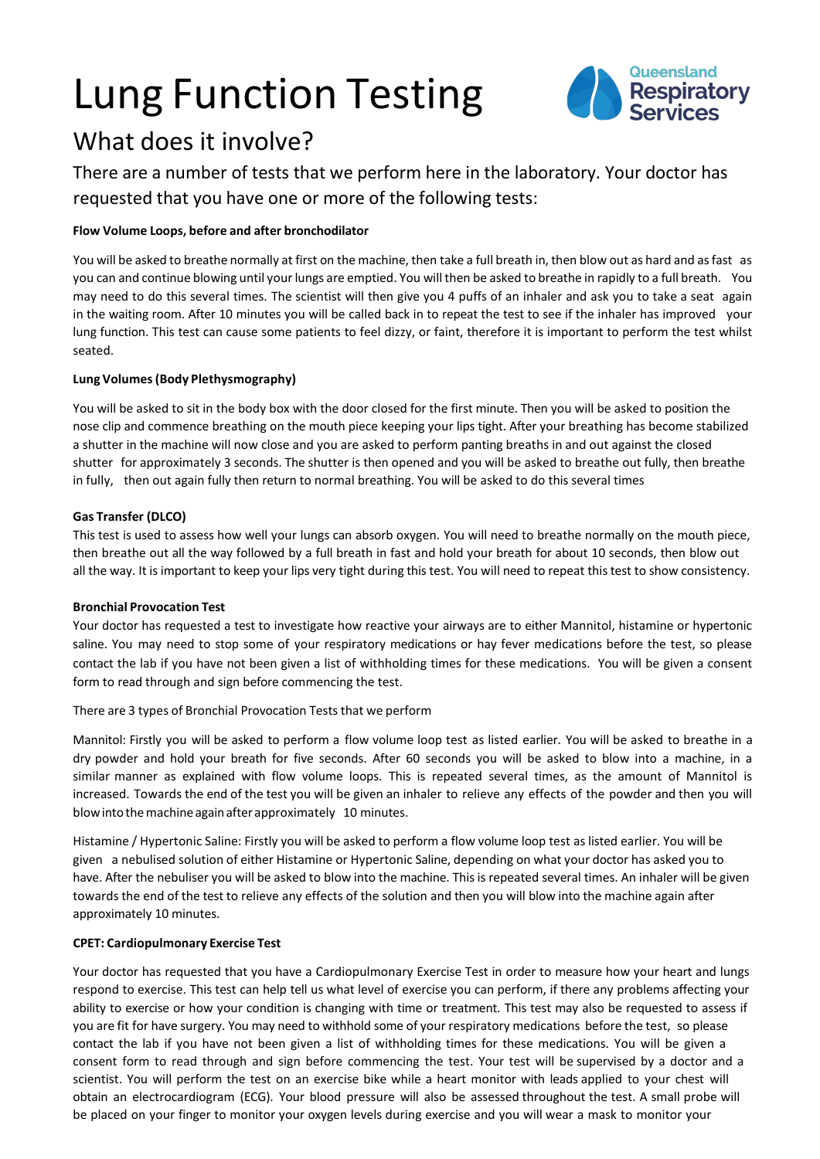# Lung Function Testing



# What does it involve?

There are a number of tests that we perform here in the laboratory. Your doctor has requested that you have one or more of the following tests:

# **Flow Volume Loops, before and after bronchodilator**

You will be asked to breathe normally at first on the machine, then take a full breath in, then blow out as hard and asfast as you can and continue blowing until your lungs are emptied. You will then be asked to breathe in rapidly to a full breath. You may need to do this several times. The scientist will then give you 4 puffs of an inhaler and ask you to take a seat again in the waiting room. After 10 minutes you will be called back in to repeat the test to see if the inhaler has improved your lung function. This test can cause some patients to feel dizzy, or faint, therefore it is important to perform the test whilst seated.

# **Lung Volumes(Body Plethysmography)**

You will be asked to sit in the body box with the door closed for the first minute. Then you will be asked to position the nose clip and commence breathing on the mouth piece keeping your lips tight. After your breathing has become stabilized a shutter in the machine will now close and you are asked to perform panting breaths in and out against the closed shutter for approximately 3 seconds. The shutter is then opened and you will be asked to breathe out fully, then breathe in fully, then out again fully then return to normal breathing. You will be asked to do this several times

# **Gas Transfer (DLCO)**

This test is used to assess how well your lungs can absorb oxygen. You will need to breathe normally on the mouth piece, then breathe out all the way followed by a full breath in fast and hold your breath for about 10 seconds, then blow out all the way. It is important to keep your lips very tight during this test. You will need to repeat thistest to show consistency.

# **Bronchial Provocation Test**

Your doctor has requested a test to investigate how reactive your airways are to either Mannitol, histamine or hypertonic saline. You may need to stop some of your respiratory medications or hay fever medications before the test, so please contact the lab if you have not been given a list of withholding times for these medications. You will be given a consent form to read through and sign before commencing the test.

# There are 3 types of Bronchial Provocation Tests that we perform

Mannitol: Firstly you will be asked to perform a flow volume loop test as listed earlier. You will be asked to breathe in a dry powder and hold your breath for five seconds. After 60 seconds you will be asked to blow into a machine, in a similar manner as explained with flow volume loops. This is repeated several times, as the amount of Mannitol is increased. Towards the end of the test you will be given an inhaler to relieve any effects of the powder and then you will blow into the machine again after approximately 10 minutes.

Histamine / Hypertonic Saline: Firstly you will be asked to perform a flow volume loop test as listed earlier. You will be given a nebulised solution of either Histamine or Hypertonic Saline, depending on what your doctor has asked you to have. After the nebuliser you will be asked to blow into the machine. This is repeated several times. An inhaler will be given towards the end of the test to relieve any effects of the solution and then you will blow into the machine again after approximately 10 minutes.

# **CPET: Cardiopulmonary Exercise Test**

Your doctor has requested that you have a Cardiopulmonary Exercise Test in order to measure how your heart and lungs respond to exercise. This test can help tell us what level of exercise you can perform, if there any problems affecting your ability to exercise or how your condition is changing with time or treatment. This test may also be requested to assess if you are fit for have surgery. You may need to withhold some of your respiratory medications before the test, so please contact the lab if you have not been given a list of withholding times for these medications. You will be given a consent form to read through and sign before commencing the test. Your test will be supervised by a doctor and a scientist. You will perform the test on an exercise bike while a heart monitor with leads applied to your chest will obtain an electrocardiogram (ECG). Your blood pressure will also be assessed throughout the test. A small probe will be placed on your finger to monitor your oxygen levels during exercise and you will wear a mask to monitor your